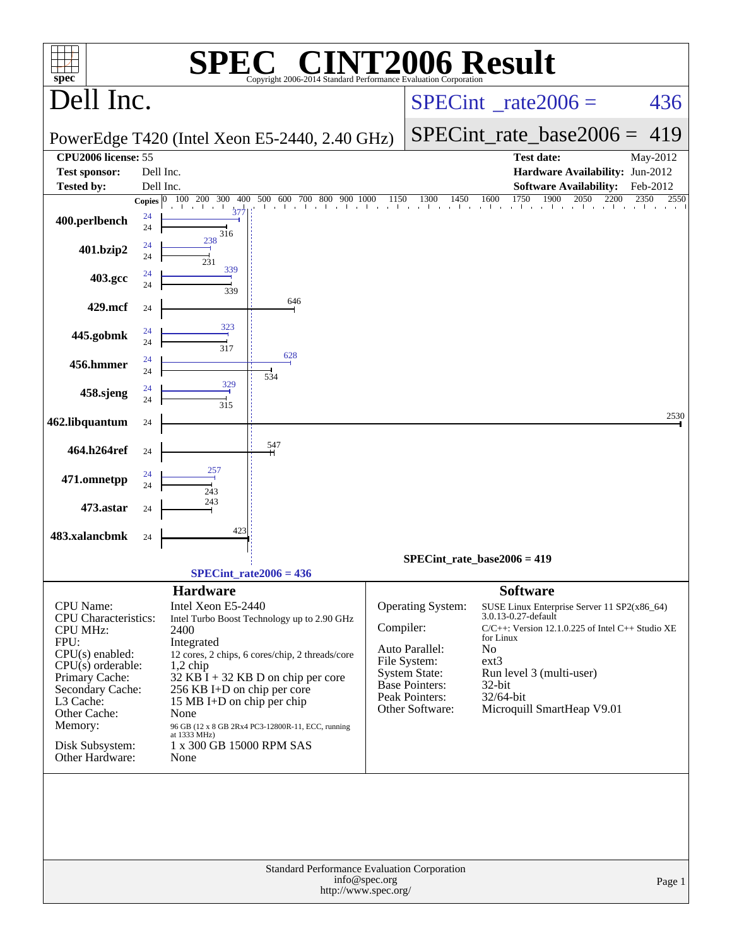| $spec^*$                                                                                                                                                                                                                            |          |                                                                                                                                                                                                    | $\bigwedge$<br>Copyright 2006-2014 Standard Performance Evaluation Corporation                                                                                                              |                                       | <b>72006 Result</b>                                                                                                                |                                                                                                          |                                                                                                                                                                |              |
|-------------------------------------------------------------------------------------------------------------------------------------------------------------------------------------------------------------------------------------|----------|----------------------------------------------------------------------------------------------------------------------------------------------------------------------------------------------------|---------------------------------------------------------------------------------------------------------------------------------------------------------------------------------------------|---------------------------------------|------------------------------------------------------------------------------------------------------------------------------------|----------------------------------------------------------------------------------------------------------|----------------------------------------------------------------------------------------------------------------------------------------------------------------|--------------|
| Dell Inc.                                                                                                                                                                                                                           |          |                                                                                                                                                                                                    |                                                                                                                                                                                             |                                       |                                                                                                                                    |                                                                                                          | $SPECint^{\circ}$ rate $2006 =$                                                                                                                                | 436          |
|                                                                                                                                                                                                                                     |          |                                                                                                                                                                                                    | PowerEdge T420 (Intel Xeon E5-2440, 2.40 GHz)                                                                                                                                               |                                       |                                                                                                                                    |                                                                                                          | $SPECint$ rate base $2006 =$                                                                                                                                   | 419          |
| CPU2006 license: 55                                                                                                                                                                                                                 |          |                                                                                                                                                                                                    |                                                                                                                                                                                             |                                       |                                                                                                                                    |                                                                                                          | <b>Test date:</b>                                                                                                                                              | May-2012     |
| <b>Test sponsor:</b>                                                                                                                                                                                                                |          | Dell Inc.                                                                                                                                                                                          |                                                                                                                                                                                             |                                       |                                                                                                                                    |                                                                                                          | Hardware Availability: Jun-2012                                                                                                                                |              |
| <b>Tested by:</b>                                                                                                                                                                                                                   |          | Dell Inc.                                                                                                                                                                                          |                                                                                                                                                                                             |                                       |                                                                                                                                    |                                                                                                          | <b>Software Availability:</b>                                                                                                                                  | Feb-2012     |
|                                                                                                                                                                                                                                     |          | $37^{1}_{7}$                                                                                                                                                                                       | Copies 0 100 200 300 400 500 600 700 800 900 1000<br>and the first characters.                                                                                                              | 1150                                  | 1300<br>1450<br>and a state of the control of<br>and the                                                                           | 1750<br>1600                                                                                             | <sup>1900</sup><br>2050<br>2200                                                                                                                                | 2350<br>2550 |
| 400.perlbench                                                                                                                                                                                                                       | 24<br>24 | 316                                                                                                                                                                                                |                                                                                                                                                                                             |                                       |                                                                                                                                    |                                                                                                          |                                                                                                                                                                |              |
| 401.bzip2                                                                                                                                                                                                                           | 24<br>24 | 238<br>231                                                                                                                                                                                         |                                                                                                                                                                                             |                                       |                                                                                                                                    |                                                                                                          |                                                                                                                                                                |              |
| 403.gcc                                                                                                                                                                                                                             | 24<br>24 | 339<br>339                                                                                                                                                                                         |                                                                                                                                                                                             |                                       |                                                                                                                                    |                                                                                                          |                                                                                                                                                                |              |
| 429.mcf                                                                                                                                                                                                                             | 24       |                                                                                                                                                                                                    | 646                                                                                                                                                                                         |                                       |                                                                                                                                    |                                                                                                          |                                                                                                                                                                |              |
| 445.gobmk                                                                                                                                                                                                                           | 24<br>24 | 323                                                                                                                                                                                                |                                                                                                                                                                                             |                                       |                                                                                                                                    |                                                                                                          |                                                                                                                                                                |              |
|                                                                                                                                                                                                                                     | 24       | 317                                                                                                                                                                                                | 628                                                                                                                                                                                         |                                       |                                                                                                                                    |                                                                                                          |                                                                                                                                                                |              |
| 456.hmmer                                                                                                                                                                                                                           | 24       |                                                                                                                                                                                                    | 534                                                                                                                                                                                         |                                       |                                                                                                                                    |                                                                                                          |                                                                                                                                                                |              |
| 458.sjeng                                                                                                                                                                                                                           | 24<br>24 | 329<br>315                                                                                                                                                                                         |                                                                                                                                                                                             |                                       |                                                                                                                                    |                                                                                                          |                                                                                                                                                                |              |
| 462.libquantum                                                                                                                                                                                                                      | 24       |                                                                                                                                                                                                    |                                                                                                                                                                                             |                                       |                                                                                                                                    |                                                                                                          |                                                                                                                                                                | 2530         |
| 464.h264ref                                                                                                                                                                                                                         | 24       |                                                                                                                                                                                                    | 547                                                                                                                                                                                         |                                       |                                                                                                                                    |                                                                                                          |                                                                                                                                                                |              |
| 471.omnetpp                                                                                                                                                                                                                         | 24<br>24 |                                                                                                                                                                                                    |                                                                                                                                                                                             |                                       |                                                                                                                                    |                                                                                                          |                                                                                                                                                                |              |
| 473.astar                                                                                                                                                                                                                           | 24       | 243<br>243                                                                                                                                                                                         |                                                                                                                                                                                             |                                       |                                                                                                                                    |                                                                                                          |                                                                                                                                                                |              |
| 483.xalancbmk                                                                                                                                                                                                                       | 24       | 423                                                                                                                                                                                                |                                                                                                                                                                                             |                                       |                                                                                                                                    |                                                                                                          |                                                                                                                                                                |              |
|                                                                                                                                                                                                                                     |          |                                                                                                                                                                                                    |                                                                                                                                                                                             |                                       | $SPECint_rate_base2006 = 419$                                                                                                      |                                                                                                          |                                                                                                                                                                |              |
|                                                                                                                                                                                                                                     |          |                                                                                                                                                                                                    | SPECint rate $2006 = 436$                                                                                                                                                                   |                                       |                                                                                                                                    |                                                                                                          |                                                                                                                                                                |              |
| <b>CPU</b> Name:<br>CPU Characteristics:<br><b>CPU MHz:</b><br>FPU:<br>$CPU(s)$ enabled:<br>$CPU(s)$ orderable:<br>Primary Cache:<br>Secondary Cache:<br>L3 Cache:<br>Other Cache:<br>Memory:<br>Disk Subsystem:<br>Other Hardware: |          | <b>Hardware</b><br>Intel Xeon E5-2440<br>2400<br>Integrated<br>$1,2$ chip<br>256 KB I+D on chip per core<br>15 MB I+D on chip per chip<br>None<br>at 1333 MHz)<br>1 x 300 GB 15000 RPM SAS<br>None | Intel Turbo Boost Technology up to 2.90 GHz<br>12 cores, 2 chips, 6 cores/chip, 2 threads/core<br>$32$ KB I + 32 KB D on chip per core<br>96 GB (12 x 8 GB 2Rx4 PC3-12800R-11, ECC, running | Compiler:                             | Operating System:<br>Auto Parallel:<br>File System:<br><b>System State:</b><br>Base Pointers:<br>Peak Pointers:<br>Other Software: | <b>Software</b><br>3.0.13-0.27-default<br>for Linux<br>N <sub>o</sub><br>$ext{3}$<br>32-bit<br>32/64-bit | SUSE Linux Enterprise Server 11 SP2(x86_64)<br>$C/C++$ : Version 12.1.0.225 of Intel $C++$ Studio XE<br>Run level 3 (multi-user)<br>Microquill SmartHeap V9.01 |              |
|                                                                                                                                                                                                                                     |          |                                                                                                                                                                                                    | Standard Performance Evaluation Corporation                                                                                                                                                 |                                       |                                                                                                                                    |                                                                                                          |                                                                                                                                                                |              |
|                                                                                                                                                                                                                                     |          |                                                                                                                                                                                                    |                                                                                                                                                                                             | info@spec.org<br>http://www.spec.org/ |                                                                                                                                    |                                                                                                          |                                                                                                                                                                | Page 1       |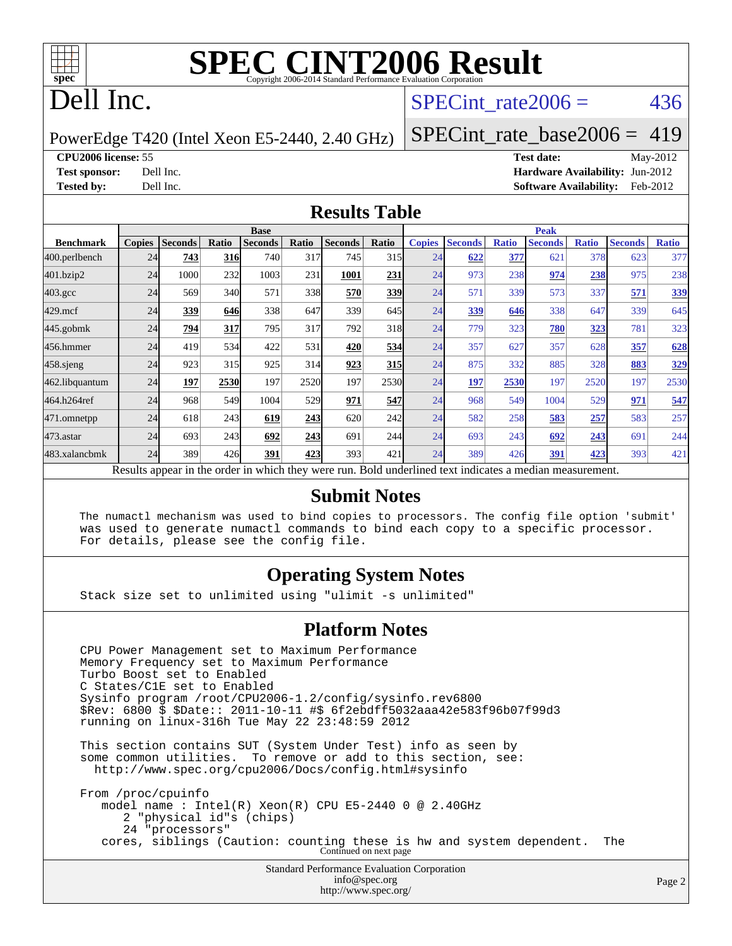

## Dell Inc.

#### SPECint rate $2006 = 436$

PowerEdge T420 (Intel Xeon E5-2440, 2.40 GHz)

[SPECint\\_rate\\_base2006 =](http://www.spec.org/auto/cpu2006/Docs/result-fields.html#SPECintratebase2006) 419

**[CPU2006 license:](http://www.spec.org/auto/cpu2006/Docs/result-fields.html#CPU2006license)** 55 **[Test date:](http://www.spec.org/auto/cpu2006/Docs/result-fields.html#Testdate)** May-2012 **[Test sponsor:](http://www.spec.org/auto/cpu2006/Docs/result-fields.html#Testsponsor)** Dell Inc. **[Hardware Availability:](http://www.spec.org/auto/cpu2006/Docs/result-fields.html#HardwareAvailability)** Jun-2012 **[Tested by:](http://www.spec.org/auto/cpu2006/Docs/result-fields.html#Testedby)** Dell Inc. **[Software Availability:](http://www.spec.org/auto/cpu2006/Docs/result-fields.html#SoftwareAvailability)** Feb-2012

#### **[Results Table](http://www.spec.org/auto/cpu2006/Docs/result-fields.html#ResultsTable)**

|                                                                                                          | <b>Base</b>   |                |       |                |       | <b>Peak</b>    |       |               |                |              |                |              |                |              |
|----------------------------------------------------------------------------------------------------------|---------------|----------------|-------|----------------|-------|----------------|-------|---------------|----------------|--------------|----------------|--------------|----------------|--------------|
| <b>Benchmark</b>                                                                                         | <b>Copies</b> | <b>Seconds</b> | Ratio | <b>Seconds</b> | Ratio | <b>Seconds</b> | Ratio | <b>Copies</b> | <b>Seconds</b> | <b>Ratio</b> | <b>Seconds</b> | <b>Ratio</b> | <b>Seconds</b> | <b>Ratio</b> |
| 400.perlbench                                                                                            | 24            | 743            | 316   | 740            | 317   | 745            | 315   | 24            | 622            | 377          | 621            | 378          | 623            | 377          |
| 401.bzip2                                                                                                | 24            | 1000           | 232   | 1003           | 231   | 1001           | 231   | 24            | 973            | 238          | 974            | 238          | 975            | 238          |
| $403.\mathrm{gcc}$                                                                                       | 24            | 569            | 340   | 571            | 338   | 570            | 339   | 24            | 571            | 339          | 573            | 337          | 571            | 339          |
| $429$ .mcf                                                                                               | 24            | 339            | 646   | 338            | 647   | 339            | 645   | 24            | 339            | 646          | 338            | 647          | 339            | 645          |
| $445$ .gobmk                                                                                             | 24            | 794            | 317   | 795            | 317   | 792            | 318   | 24            | 779            | 323          | 780            | 323          | 781            | 323          |
| 456.hmmer                                                                                                | 24            | 419            | 534   | 422            | 531   | 420            | 534   | 24            | 357            | 627          | 357            | 628          | 357            | 628          |
| $458$ .sjeng                                                                                             | 24            | 923            | 315   | 925            | 314   | 923            | 315   | 24            | 875            | 332          | 885            | 328          | 883            | 329          |
| 462.libquantum                                                                                           | 24            | 197            | 2530  | 197            | 2520  | 197            | 2530  | 24            | <u>197</u>     | 2530         | 197            | 2520         | 197            | 2530         |
| 464.h264ref                                                                                              | 24            | 968            | 549   | 1004           | 529   | 971            | 547   | 24            | 968            | 549          | 1004           | 529          | 971            | 547          |
| 471.omnetpp                                                                                              | 24            | 618            | 243   | 619            | 243   | 620            | 242   | 24            | 582            | 258          | 583            | 257          | 583            | 257          |
| $473$ . astar                                                                                            | 24            | 693            | 243   | 692            | 243   | 691            | 244   | 24            | 693            | 243          | 692            | 243          | 691            | 244          |
| 483.xalancbmk                                                                                            | 24            | 389            | 426   | 391            | 423   | 393            | 421   | 24            | 389            | 426          | 391            | 423          | 393            | 421          |
| Results appear in the order in which they were run. Bold underlined text indicates a median measurement. |               |                |       |                |       |                |       |               |                |              |                |              |                |              |

#### **[Submit Notes](http://www.spec.org/auto/cpu2006/Docs/result-fields.html#SubmitNotes)**

 The numactl mechanism was used to bind copies to processors. The config file option 'submit' was used to generate numactl commands to bind each copy to a specific processor. For details, please see the config file.

#### **[Operating System Notes](http://www.spec.org/auto/cpu2006/Docs/result-fields.html#OperatingSystemNotes)**

Stack size set to unlimited using "ulimit -s unlimited"

#### **[Platform Notes](http://www.spec.org/auto/cpu2006/Docs/result-fields.html#PlatformNotes)**

Standard Performance Evaluation Corporation CPU Power Management set to Maximum Performance Memory Frequency set to Maximum Performance Turbo Boost set to Enabled C States/C1E set to Enabled Sysinfo program /root/CPU2006-1.2/config/sysinfo.rev6800 \$Rev: 6800 \$ \$Date:: 2011-10-11 #\$ 6f2ebdff5032aaa42e583f96b07f99d3 running on linux-316h Tue May 22 23:48:59 2012 This section contains SUT (System Under Test) info as seen by some common utilities. To remove or add to this section, see: <http://www.spec.org/cpu2006/Docs/config.html#sysinfo> From /proc/cpuinfo model name : Intel(R) Xeon(R) CPU E5-2440 0 @ 2.40GHz 2 "physical id"s (chips) 24 "processors" cores, siblings (Caution: counting these is hw and system dependent. The Continued on next page

[info@spec.org](mailto:info@spec.org) <http://www.spec.org/>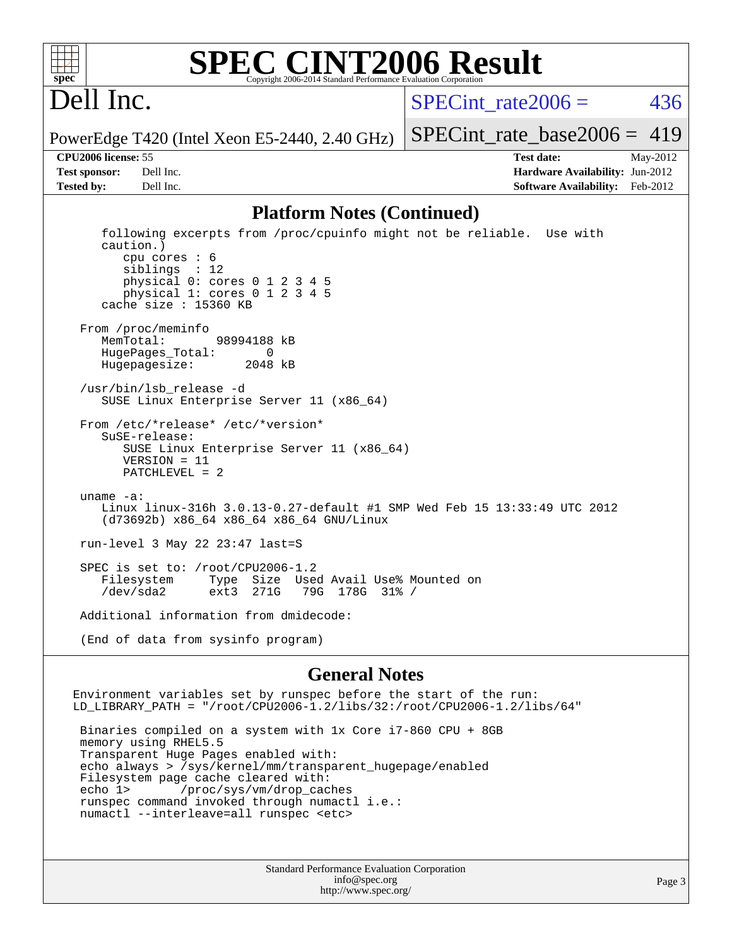

#### **[SPEC CINT2006 Result](http://www.spec.org/auto/cpu2006/Docs/result-fields.html#SPECCINT2006Result)** Copyright 2006-2014 Standard Performance Evaluation C

# Dell Inc.

SPECint rate $2006 = 436$ 

PowerEdge T420 (Intel Xeon E5-2440, 2.40 GHz)

[SPECint\\_rate\\_base2006 =](http://www.spec.org/auto/cpu2006/Docs/result-fields.html#SPECintratebase2006)  $419$ **[CPU2006 license:](http://www.spec.org/auto/cpu2006/Docs/result-fields.html#CPU2006license)** 55 **[Test date:](http://www.spec.org/auto/cpu2006/Docs/result-fields.html#Testdate)** May-2012

**[Test sponsor:](http://www.spec.org/auto/cpu2006/Docs/result-fields.html#Testsponsor)** Dell Inc. **[Hardware Availability:](http://www.spec.org/auto/cpu2006/Docs/result-fields.html#HardwareAvailability)** Jun-2012 **[Tested by:](http://www.spec.org/auto/cpu2006/Docs/result-fields.html#Testedby)** Dell Inc. **[Software Availability:](http://www.spec.org/auto/cpu2006/Docs/result-fields.html#SoftwareAvailability)** Feb-2012

#### **[Platform Notes \(Continued\)](http://www.spec.org/auto/cpu2006/Docs/result-fields.html#PlatformNotes)**

 following excerpts from /proc/cpuinfo might not be reliable. Use with caution.) cpu cores : 6 siblings : 12 physical 0: cores 0 1 2 3 4 5 physical 1: cores 0 1 2 3 4 5 cache size : 15360 KB From /proc/meminfo MemTotal: 98994188 kB<br>HugePages Total: 0 HugePages\_Total: 0 Hugepagesize: 2048 kB /usr/bin/lsb\_release -d SUSE Linux Enterprise Server 11 (x86\_64) From /etc/\*release\* /etc/\*version\* SuSE-release: SUSE Linux Enterprise Server 11 (x86\_64) VERSION = 11 PATCHLEVEL = 2 uname -a: Linux linux-316h 3.0.13-0.27-default #1 SMP Wed Feb 15 13:33:49 UTC 2012 (d73692b) x86\_64 x86\_64 x86\_64 GNU/Linux run-level 3 May 22 23:47 last=S SPEC is set to: /root/CPU2006-1.2 Filesystem Type Size Used Avail Use% Mounted on /dev/sda2 ext3 271G 79G 178G 31% / Additional information from dmidecode:

(End of data from sysinfo program)

#### **[General Notes](http://www.spec.org/auto/cpu2006/Docs/result-fields.html#GeneralNotes)**

Environment variables set by runspec before the start of the run: LD\_LIBRARY\_PATH = "/root/CPU2006-1.2/libs/32:/root/CPU2006-1.2/libs/64"

 Binaries compiled on a system with 1x Core i7-860 CPU + 8GB memory using RHEL5.5 Transparent Huge Pages enabled with: echo always > /sys/kernel/mm/transparent\_hugepage/enabled Filesystem page cache cleared with: echo 1> /proc/sys/vm/drop\_caches runspec command invoked through numactl i.e.: numactl --interleave=all runspec <etc>

> Standard Performance Evaluation Corporation [info@spec.org](mailto:info@spec.org) <http://www.spec.org/>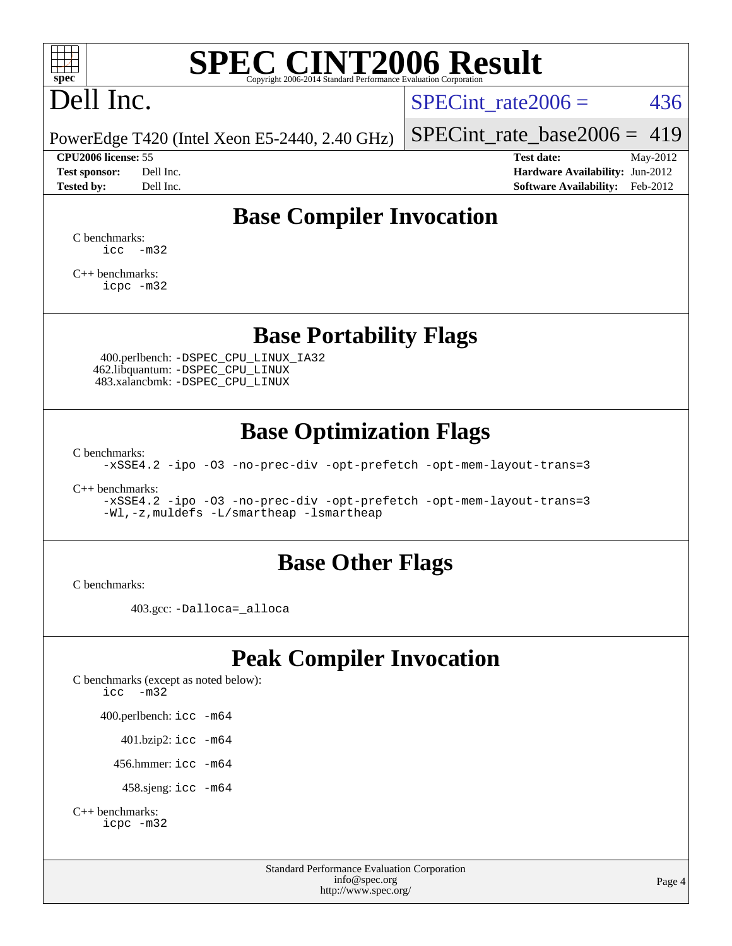

# Dell Inc.

SPECint rate $2006 = 436$ 

PowerEdge T420 (Intel Xeon E5-2440, 2.40 GHz)

**[Tested by:](http://www.spec.org/auto/cpu2006/Docs/result-fields.html#Testedby)** Dell Inc. **[Software Availability:](http://www.spec.org/auto/cpu2006/Docs/result-fields.html#SoftwareAvailability)** Feb-2012

[SPECint\\_rate\\_base2006 =](http://www.spec.org/auto/cpu2006/Docs/result-fields.html#SPECintratebase2006)  $419$ 

**[CPU2006 license:](http://www.spec.org/auto/cpu2006/Docs/result-fields.html#CPU2006license)** 55 **[Test date:](http://www.spec.org/auto/cpu2006/Docs/result-fields.html#Testdate)** May-2012 **[Test sponsor:](http://www.spec.org/auto/cpu2006/Docs/result-fields.html#Testsponsor)** Dell Inc. **[Hardware Availability:](http://www.spec.org/auto/cpu2006/Docs/result-fields.html#HardwareAvailability)** Jun-2012

### **[Base Compiler Invocation](http://www.spec.org/auto/cpu2006/Docs/result-fields.html#BaseCompilerInvocation)**

[C benchmarks](http://www.spec.org/auto/cpu2006/Docs/result-fields.html#Cbenchmarks):  $\text{icc}$   $-\text{m32}$ 

[C++ benchmarks:](http://www.spec.org/auto/cpu2006/Docs/result-fields.html#CXXbenchmarks) [icpc -m32](http://www.spec.org/cpu2006/results/res2012q3/cpu2006-20120703-23501.flags.html#user_CXXbase_intel_icpc_4e5a5ef1a53fd332b3c49e69c3330699)

#### **[Base Portability Flags](http://www.spec.org/auto/cpu2006/Docs/result-fields.html#BasePortabilityFlags)**

 400.perlbench: [-DSPEC\\_CPU\\_LINUX\\_IA32](http://www.spec.org/cpu2006/results/res2012q3/cpu2006-20120703-23501.flags.html#b400.perlbench_baseCPORTABILITY_DSPEC_CPU_LINUX_IA32) 462.libquantum: [-DSPEC\\_CPU\\_LINUX](http://www.spec.org/cpu2006/results/res2012q3/cpu2006-20120703-23501.flags.html#b462.libquantum_baseCPORTABILITY_DSPEC_CPU_LINUX) 483.xalancbmk: [-DSPEC\\_CPU\\_LINUX](http://www.spec.org/cpu2006/results/res2012q3/cpu2006-20120703-23501.flags.html#b483.xalancbmk_baseCXXPORTABILITY_DSPEC_CPU_LINUX)

### **[Base Optimization Flags](http://www.spec.org/auto/cpu2006/Docs/result-fields.html#BaseOptimizationFlags)**

[C benchmarks](http://www.spec.org/auto/cpu2006/Docs/result-fields.html#Cbenchmarks):

[-xSSE4.2](http://www.spec.org/cpu2006/results/res2012q3/cpu2006-20120703-23501.flags.html#user_CCbase_f-xSSE42_f91528193cf0b216347adb8b939d4107) [-ipo](http://www.spec.org/cpu2006/results/res2012q3/cpu2006-20120703-23501.flags.html#user_CCbase_f-ipo) [-O3](http://www.spec.org/cpu2006/results/res2012q3/cpu2006-20120703-23501.flags.html#user_CCbase_f-O3) [-no-prec-div](http://www.spec.org/cpu2006/results/res2012q3/cpu2006-20120703-23501.flags.html#user_CCbase_f-no-prec-div) [-opt-prefetch](http://www.spec.org/cpu2006/results/res2012q3/cpu2006-20120703-23501.flags.html#user_CCbase_f-opt-prefetch) [-opt-mem-layout-trans=3](http://www.spec.org/cpu2006/results/res2012q3/cpu2006-20120703-23501.flags.html#user_CCbase_f-opt-mem-layout-trans_a7b82ad4bd7abf52556d4961a2ae94d5)

[C++ benchmarks:](http://www.spec.org/auto/cpu2006/Docs/result-fields.html#CXXbenchmarks)

[-xSSE4.2](http://www.spec.org/cpu2006/results/res2012q3/cpu2006-20120703-23501.flags.html#user_CXXbase_f-xSSE42_f91528193cf0b216347adb8b939d4107) [-ipo](http://www.spec.org/cpu2006/results/res2012q3/cpu2006-20120703-23501.flags.html#user_CXXbase_f-ipo) [-O3](http://www.spec.org/cpu2006/results/res2012q3/cpu2006-20120703-23501.flags.html#user_CXXbase_f-O3) [-no-prec-div](http://www.spec.org/cpu2006/results/res2012q3/cpu2006-20120703-23501.flags.html#user_CXXbase_f-no-prec-div) [-opt-prefetch](http://www.spec.org/cpu2006/results/res2012q3/cpu2006-20120703-23501.flags.html#user_CXXbase_f-opt-prefetch) [-opt-mem-layout-trans=3](http://www.spec.org/cpu2006/results/res2012q3/cpu2006-20120703-23501.flags.html#user_CXXbase_f-opt-mem-layout-trans_a7b82ad4bd7abf52556d4961a2ae94d5) [-Wl,-z,muldefs](http://www.spec.org/cpu2006/results/res2012q3/cpu2006-20120703-23501.flags.html#user_CXXbase_link_force_multiple1_74079c344b956b9658436fd1b6dd3a8a) [-L/smartheap -lsmartheap](http://www.spec.org/cpu2006/results/res2012q3/cpu2006-20120703-23501.flags.html#user_CXXbase_SmartHeap_7c9e394a5779e1a7fec7c221e123830c)

#### **[Base Other Flags](http://www.spec.org/auto/cpu2006/Docs/result-fields.html#BaseOtherFlags)**

[C benchmarks](http://www.spec.org/auto/cpu2006/Docs/result-fields.html#Cbenchmarks):

403.gcc: [-Dalloca=\\_alloca](http://www.spec.org/cpu2006/results/res2012q3/cpu2006-20120703-23501.flags.html#b403.gcc_baseEXTRA_CFLAGS_Dalloca_be3056838c12de2578596ca5467af7f3)

## **[Peak Compiler Invocation](http://www.spec.org/auto/cpu2006/Docs/result-fields.html#PeakCompilerInvocation)**

[C benchmarks \(except as noted below\)](http://www.spec.org/auto/cpu2006/Docs/result-fields.html#Cbenchmarksexceptasnotedbelow): [icc -m32](http://www.spec.org/cpu2006/results/res2012q3/cpu2006-20120703-23501.flags.html#user_CCpeak_intel_icc_5ff4a39e364c98233615fdd38438c6f2) 400.perlbench: [icc -m64](http://www.spec.org/cpu2006/results/res2012q3/cpu2006-20120703-23501.flags.html#user_peakCCLD400_perlbench_intel_icc_64bit_bda6cc9af1fdbb0edc3795bac97ada53) 401.bzip2: [icc -m64](http://www.spec.org/cpu2006/results/res2012q3/cpu2006-20120703-23501.flags.html#user_peakCCLD401_bzip2_intel_icc_64bit_bda6cc9af1fdbb0edc3795bac97ada53)

456.hmmer: [icc -m64](http://www.spec.org/cpu2006/results/res2012q3/cpu2006-20120703-23501.flags.html#user_peakCCLD456_hmmer_intel_icc_64bit_bda6cc9af1fdbb0edc3795bac97ada53)

458.sjeng: [icc -m64](http://www.spec.org/cpu2006/results/res2012q3/cpu2006-20120703-23501.flags.html#user_peakCCLD458_sjeng_intel_icc_64bit_bda6cc9af1fdbb0edc3795bac97ada53)

```
C++ benchmarks: 
icpc -m32
```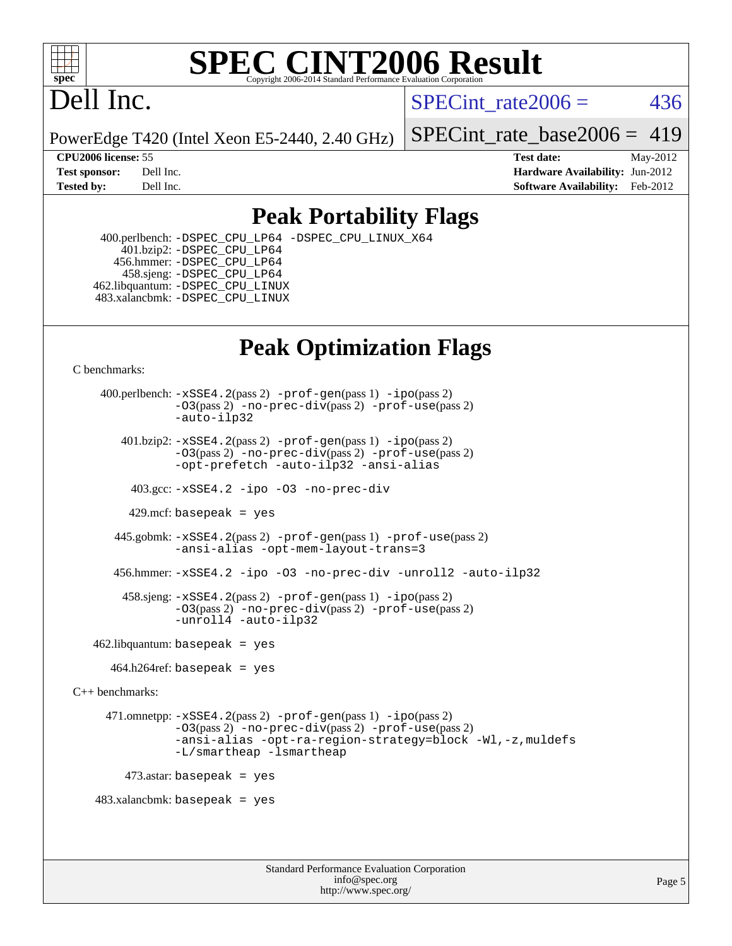

# Dell Inc.

SPECint rate $2006 = 436$ 

PowerEdge T420 (Intel Xeon E5-2440, 2.40 GHz)

[SPECint\\_rate\\_base2006 =](http://www.spec.org/auto/cpu2006/Docs/result-fields.html#SPECintratebase2006) 419

**[CPU2006 license:](http://www.spec.org/auto/cpu2006/Docs/result-fields.html#CPU2006license)** 55 **[Test date:](http://www.spec.org/auto/cpu2006/Docs/result-fields.html#Testdate)** May-2012 **[Test sponsor:](http://www.spec.org/auto/cpu2006/Docs/result-fields.html#Testsponsor)** Dell Inc. **[Hardware Availability:](http://www.spec.org/auto/cpu2006/Docs/result-fields.html#HardwareAvailability)** Jun-2012 **[Tested by:](http://www.spec.org/auto/cpu2006/Docs/result-fields.html#Testedby)** Dell Inc. **[Software Availability:](http://www.spec.org/auto/cpu2006/Docs/result-fields.html#SoftwareAvailability)** Feb-2012

### **[Peak Portability Flags](http://www.spec.org/auto/cpu2006/Docs/result-fields.html#PeakPortabilityFlags)**

 400.perlbench: [-DSPEC\\_CPU\\_LP64](http://www.spec.org/cpu2006/results/res2012q3/cpu2006-20120703-23501.flags.html#b400.perlbench_peakCPORTABILITY_DSPEC_CPU_LP64) [-DSPEC\\_CPU\\_LINUX\\_X64](http://www.spec.org/cpu2006/results/res2012q3/cpu2006-20120703-23501.flags.html#b400.perlbench_peakCPORTABILITY_DSPEC_CPU_LINUX_X64) 401.bzip2: [-DSPEC\\_CPU\\_LP64](http://www.spec.org/cpu2006/results/res2012q3/cpu2006-20120703-23501.flags.html#suite_peakCPORTABILITY401_bzip2_DSPEC_CPU_LP64) 456.hmmer: [-DSPEC\\_CPU\\_LP64](http://www.spec.org/cpu2006/results/res2012q3/cpu2006-20120703-23501.flags.html#suite_peakCPORTABILITY456_hmmer_DSPEC_CPU_LP64) 458.sjeng: [-DSPEC\\_CPU\\_LP64](http://www.spec.org/cpu2006/results/res2012q3/cpu2006-20120703-23501.flags.html#suite_peakCPORTABILITY458_sjeng_DSPEC_CPU_LP64) 462.libquantum: [-DSPEC\\_CPU\\_LINUX](http://www.spec.org/cpu2006/results/res2012q3/cpu2006-20120703-23501.flags.html#b462.libquantum_peakCPORTABILITY_DSPEC_CPU_LINUX) 483.xalancbmk: [-DSPEC\\_CPU\\_LINUX](http://www.spec.org/cpu2006/results/res2012q3/cpu2006-20120703-23501.flags.html#b483.xalancbmk_peakCXXPORTABILITY_DSPEC_CPU_LINUX)

## **[Peak Optimization Flags](http://www.spec.org/auto/cpu2006/Docs/result-fields.html#PeakOptimizationFlags)**

[C benchmarks](http://www.spec.org/auto/cpu2006/Docs/result-fields.html#Cbenchmarks):

 400.perlbench: [-xSSE4.2](http://www.spec.org/cpu2006/results/res2012q3/cpu2006-20120703-23501.flags.html#user_peakPASS2_CFLAGSPASS2_LDCFLAGS400_perlbench_f-xSSE42_f91528193cf0b216347adb8b939d4107)(pass 2) [-prof-gen](http://www.spec.org/cpu2006/results/res2012q3/cpu2006-20120703-23501.flags.html#user_peakPASS1_CFLAGSPASS1_LDCFLAGS400_perlbench_prof_gen_e43856698f6ca7b7e442dfd80e94a8fc)(pass 1) [-ipo](http://www.spec.org/cpu2006/results/res2012q3/cpu2006-20120703-23501.flags.html#user_peakPASS2_CFLAGSPASS2_LDCFLAGS400_perlbench_f-ipo)(pass 2) [-O3](http://www.spec.org/cpu2006/results/res2012q3/cpu2006-20120703-23501.flags.html#user_peakPASS2_CFLAGSPASS2_LDCFLAGS400_perlbench_f-O3)(pass 2) [-no-prec-div](http://www.spec.org/cpu2006/results/res2012q3/cpu2006-20120703-23501.flags.html#user_peakPASS2_CFLAGSPASS2_LDCFLAGS400_perlbench_f-no-prec-div)(pass 2) [-prof-use](http://www.spec.org/cpu2006/results/res2012q3/cpu2006-20120703-23501.flags.html#user_peakPASS2_CFLAGSPASS2_LDCFLAGS400_perlbench_prof_use_bccf7792157ff70d64e32fe3e1250b55)(pass 2) [-auto-ilp32](http://www.spec.org/cpu2006/results/res2012q3/cpu2006-20120703-23501.flags.html#user_peakCOPTIMIZE400_perlbench_f-auto-ilp32) 401.bzip2: [-xSSE4.2](http://www.spec.org/cpu2006/results/res2012q3/cpu2006-20120703-23501.flags.html#user_peakPASS2_CFLAGSPASS2_LDCFLAGS401_bzip2_f-xSSE42_f91528193cf0b216347adb8b939d4107)(pass 2) [-prof-gen](http://www.spec.org/cpu2006/results/res2012q3/cpu2006-20120703-23501.flags.html#user_peakPASS1_CFLAGSPASS1_LDCFLAGS401_bzip2_prof_gen_e43856698f6ca7b7e442dfd80e94a8fc)(pass 1) [-ipo](http://www.spec.org/cpu2006/results/res2012q3/cpu2006-20120703-23501.flags.html#user_peakPASS2_CFLAGSPASS2_LDCFLAGS401_bzip2_f-ipo)(pass 2) [-O3](http://www.spec.org/cpu2006/results/res2012q3/cpu2006-20120703-23501.flags.html#user_peakPASS2_CFLAGSPASS2_LDCFLAGS401_bzip2_f-O3)(pass 2) [-no-prec-div](http://www.spec.org/cpu2006/results/res2012q3/cpu2006-20120703-23501.flags.html#user_peakPASS2_CFLAGSPASS2_LDCFLAGS401_bzip2_f-no-prec-div)(pass 2) [-prof-use](http://www.spec.org/cpu2006/results/res2012q3/cpu2006-20120703-23501.flags.html#user_peakPASS2_CFLAGSPASS2_LDCFLAGS401_bzip2_prof_use_bccf7792157ff70d64e32fe3e1250b55)(pass 2) [-opt-prefetch](http://www.spec.org/cpu2006/results/res2012q3/cpu2006-20120703-23501.flags.html#user_peakCOPTIMIZE401_bzip2_f-opt-prefetch) [-auto-ilp32](http://www.spec.org/cpu2006/results/res2012q3/cpu2006-20120703-23501.flags.html#user_peakCOPTIMIZE401_bzip2_f-auto-ilp32) [-ansi-alias](http://www.spec.org/cpu2006/results/res2012q3/cpu2006-20120703-23501.flags.html#user_peakCOPTIMIZE401_bzip2_f-ansi-alias) 403.gcc: [-xSSE4.2](http://www.spec.org/cpu2006/results/res2012q3/cpu2006-20120703-23501.flags.html#user_peakCOPTIMIZE403_gcc_f-xSSE42_f91528193cf0b216347adb8b939d4107) [-ipo](http://www.spec.org/cpu2006/results/res2012q3/cpu2006-20120703-23501.flags.html#user_peakCOPTIMIZE403_gcc_f-ipo) [-O3](http://www.spec.org/cpu2006/results/res2012q3/cpu2006-20120703-23501.flags.html#user_peakCOPTIMIZE403_gcc_f-O3) [-no-prec-div](http://www.spec.org/cpu2006/results/res2012q3/cpu2006-20120703-23501.flags.html#user_peakCOPTIMIZE403_gcc_f-no-prec-div) 429.mcf: basepeak = yes 445.gobmk: [-xSSE4.2](http://www.spec.org/cpu2006/results/res2012q3/cpu2006-20120703-23501.flags.html#user_peakPASS2_CFLAGSPASS2_LDCFLAGS445_gobmk_f-xSSE42_f91528193cf0b216347adb8b939d4107)(pass 2) [-prof-gen](http://www.spec.org/cpu2006/results/res2012q3/cpu2006-20120703-23501.flags.html#user_peakPASS1_CFLAGSPASS1_LDCFLAGS445_gobmk_prof_gen_e43856698f6ca7b7e442dfd80e94a8fc)(pass 1) [-prof-use](http://www.spec.org/cpu2006/results/res2012q3/cpu2006-20120703-23501.flags.html#user_peakPASS2_CFLAGSPASS2_LDCFLAGS445_gobmk_prof_use_bccf7792157ff70d64e32fe3e1250b55)(pass 2) [-ansi-alias](http://www.spec.org/cpu2006/results/res2012q3/cpu2006-20120703-23501.flags.html#user_peakCOPTIMIZE445_gobmk_f-ansi-alias) [-opt-mem-layout-trans=3](http://www.spec.org/cpu2006/results/res2012q3/cpu2006-20120703-23501.flags.html#user_peakCOPTIMIZE445_gobmk_f-opt-mem-layout-trans_a7b82ad4bd7abf52556d4961a2ae94d5) 456.hmmer: [-xSSE4.2](http://www.spec.org/cpu2006/results/res2012q3/cpu2006-20120703-23501.flags.html#user_peakCOPTIMIZE456_hmmer_f-xSSE42_f91528193cf0b216347adb8b939d4107) [-ipo](http://www.spec.org/cpu2006/results/res2012q3/cpu2006-20120703-23501.flags.html#user_peakCOPTIMIZE456_hmmer_f-ipo) [-O3](http://www.spec.org/cpu2006/results/res2012q3/cpu2006-20120703-23501.flags.html#user_peakCOPTIMIZE456_hmmer_f-O3) [-no-prec-div](http://www.spec.org/cpu2006/results/res2012q3/cpu2006-20120703-23501.flags.html#user_peakCOPTIMIZE456_hmmer_f-no-prec-div) [-unroll2](http://www.spec.org/cpu2006/results/res2012q3/cpu2006-20120703-23501.flags.html#user_peakCOPTIMIZE456_hmmer_f-unroll_784dae83bebfb236979b41d2422d7ec2) [-auto-ilp32](http://www.spec.org/cpu2006/results/res2012q3/cpu2006-20120703-23501.flags.html#user_peakCOPTIMIZE456_hmmer_f-auto-ilp32) 458.sjeng: [-xSSE4.2](http://www.spec.org/cpu2006/results/res2012q3/cpu2006-20120703-23501.flags.html#user_peakPASS2_CFLAGSPASS2_LDCFLAGS458_sjeng_f-xSSE42_f91528193cf0b216347adb8b939d4107)(pass 2) [-prof-gen](http://www.spec.org/cpu2006/results/res2012q3/cpu2006-20120703-23501.flags.html#user_peakPASS1_CFLAGSPASS1_LDCFLAGS458_sjeng_prof_gen_e43856698f6ca7b7e442dfd80e94a8fc)(pass 1) [-ipo](http://www.spec.org/cpu2006/results/res2012q3/cpu2006-20120703-23501.flags.html#user_peakPASS2_CFLAGSPASS2_LDCFLAGS458_sjeng_f-ipo)(pass 2) [-O3](http://www.spec.org/cpu2006/results/res2012q3/cpu2006-20120703-23501.flags.html#user_peakPASS2_CFLAGSPASS2_LDCFLAGS458_sjeng_f-O3)(pass 2) [-no-prec-div](http://www.spec.org/cpu2006/results/res2012q3/cpu2006-20120703-23501.flags.html#user_peakPASS2_CFLAGSPASS2_LDCFLAGS458_sjeng_f-no-prec-div)(pass 2) [-prof-use](http://www.spec.org/cpu2006/results/res2012q3/cpu2006-20120703-23501.flags.html#user_peakPASS2_CFLAGSPASS2_LDCFLAGS458_sjeng_prof_use_bccf7792157ff70d64e32fe3e1250b55)(pass 2) [-unroll4](http://www.spec.org/cpu2006/results/res2012q3/cpu2006-20120703-23501.flags.html#user_peakCOPTIMIZE458_sjeng_f-unroll_4e5e4ed65b7fd20bdcd365bec371b81f) [-auto-ilp32](http://www.spec.org/cpu2006/results/res2012q3/cpu2006-20120703-23501.flags.html#user_peakCOPTIMIZE458_sjeng_f-auto-ilp32)  $462$ .libquantum: basepeak = yes  $464.h264$ ref: basepeak = yes [C++ benchmarks:](http://www.spec.org/auto/cpu2006/Docs/result-fields.html#CXXbenchmarks) 471.omnetpp: [-xSSE4.2](http://www.spec.org/cpu2006/results/res2012q3/cpu2006-20120703-23501.flags.html#user_peakPASS2_CXXFLAGSPASS2_LDCXXFLAGS471_omnetpp_f-xSSE42_f91528193cf0b216347adb8b939d4107)(pass 2) [-prof-gen](http://www.spec.org/cpu2006/results/res2012q3/cpu2006-20120703-23501.flags.html#user_peakPASS1_CXXFLAGSPASS1_LDCXXFLAGS471_omnetpp_prof_gen_e43856698f6ca7b7e442dfd80e94a8fc)(pass 1) [-ipo](http://www.spec.org/cpu2006/results/res2012q3/cpu2006-20120703-23501.flags.html#user_peakPASS2_CXXFLAGSPASS2_LDCXXFLAGS471_omnetpp_f-ipo)(pass 2) [-O3](http://www.spec.org/cpu2006/results/res2012q3/cpu2006-20120703-23501.flags.html#user_peakPASS2_CXXFLAGSPASS2_LDCXXFLAGS471_omnetpp_f-O3)(pass 2) [-no-prec-div](http://www.spec.org/cpu2006/results/res2012q3/cpu2006-20120703-23501.flags.html#user_peakPASS2_CXXFLAGSPASS2_LDCXXFLAGS471_omnetpp_f-no-prec-div)(pass 2) [-prof-use](http://www.spec.org/cpu2006/results/res2012q3/cpu2006-20120703-23501.flags.html#user_peakPASS2_CXXFLAGSPASS2_LDCXXFLAGS471_omnetpp_prof_use_bccf7792157ff70d64e32fe3e1250b55)(pass 2) [-ansi-alias](http://www.spec.org/cpu2006/results/res2012q3/cpu2006-20120703-23501.flags.html#user_peakCXXOPTIMIZE471_omnetpp_f-ansi-alias) [-opt-ra-region-strategy=block](http://www.spec.org/cpu2006/results/res2012q3/cpu2006-20120703-23501.flags.html#user_peakCXXOPTIMIZE471_omnetpp_f-opt-ra-region-strategy_a0a37c372d03933b2a18d4af463c1f69) [-Wl,-z,muldefs](http://www.spec.org/cpu2006/results/res2012q3/cpu2006-20120703-23501.flags.html#user_peakEXTRA_LDFLAGS471_omnetpp_link_force_multiple1_74079c344b956b9658436fd1b6dd3a8a) [-L/smartheap -lsmartheap](http://www.spec.org/cpu2006/results/res2012q3/cpu2006-20120703-23501.flags.html#user_peakEXTRA_LIBS471_omnetpp_SmartHeap_7c9e394a5779e1a7fec7c221e123830c)  $473$ .astar: basepeak = yes 483.xalancbmk: basepeak = yes